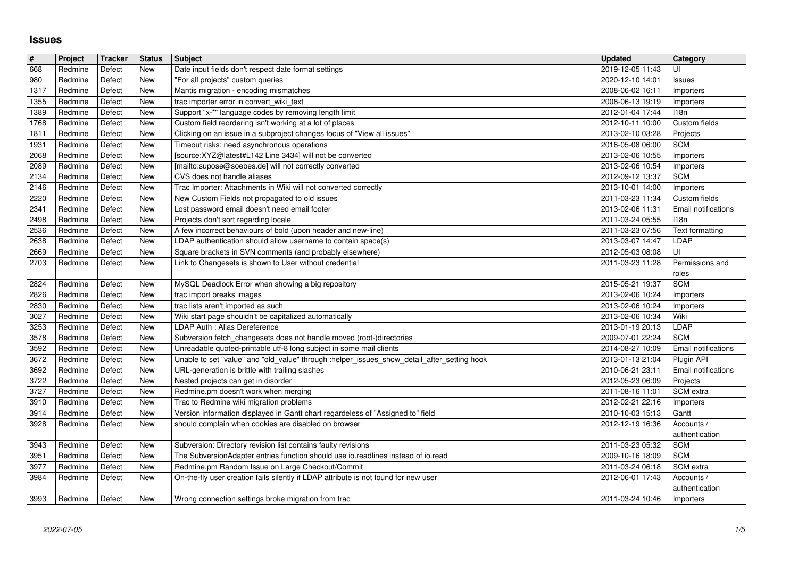## **Issues**

| $\sqrt{\frac{4}{15}}$ | Project            | <b>Tracker</b>   | <b>Status</b>            | <b>Subject</b>                                                                                                                                     | <b>Updated</b>                       | Category                        |
|-----------------------|--------------------|------------------|--------------------------|----------------------------------------------------------------------------------------------------------------------------------------------------|--------------------------------------|---------------------------------|
| 668<br>980            | Redmine<br>Redmine | Defect<br>Defect | New<br>New               | Date input fields don't respect date format settings<br>"For all projects" custom queries                                                          | 2019-12-05 11:43<br>2020-12-10 14:01 | UI<br><b>Issues</b>             |
| 1317                  | Redmine            | Defect           | New                      | Mantis migration - encoding mismatches                                                                                                             | 2008-06-02 16:11                     | Importers                       |
| 1355<br>1389          | Redmine<br>Redmine | Defect<br>Defect | <b>New</b><br><b>New</b> | trac importer error in convert_wiki_text<br>Support "x-*" language codes by removing length limit                                                  | 2008-06-13 19:19<br>2012-01-04 17:44 | Importers<br><b>I18n</b>        |
| 1768                  | Redmine            | Defect           | New                      | Custom field reordering isn't working at a lot of places                                                                                           | 2012-10-11 10:00                     | Custom fields                   |
| 1811                  | Redmine            | Defect           | <b>New</b>               | Clicking on an issue in a subproject changes focus of "View all issues"                                                                            | 2013-02-10 03:28                     | Projects                        |
| 1931<br>2068          | Redmine<br>Redmine | Defect<br>Defect | New<br>New               | Timeout risks: need asynchronous operations<br>[source:XYZ@latest#L142 Line 3434] will not be converted                                            | 2016-05-08 06:00<br>2013-02-06 10:55 | <b>SCM</b><br>Importers         |
| 2089                  | Redmine            | Defect           | New                      | [mailto:supose@soebes.de] will not correctly converted                                                                                             | 2013-02-06 10:54                     | Importers                       |
| $\sqrt{2134}$<br>2146 | Redmine<br>Redmine | Defect<br>Defect | New<br>New               | CVS does not handle aliases<br>Trac Importer: Attachments in Wiki will not converted correctly                                                     | 2012-09-12 13:37<br>2013-10-01 14:00 | <b>SCM</b>                      |
| 2220                  | Redmine            | Defect           | <b>New</b>               | New Custom Fields not propagated to old issues                                                                                                     | 2011-03-23 11:34                     | Importers<br>Custom fields      |
| 2341                  | Redmine            | Defect           | New                      | Lost password email doesn't need email footer                                                                                                      | 2013-02-06 11:31                     | Email notifications             |
| 2498<br>2536          | Redmine<br>Redmine | Defect<br>Defect | New<br><b>New</b>        | Projects don't sort regarding locale<br>A few incorrect behaviours of bold (upon header and new-line)                                              | 2011-03-24 05:55<br>2011-03-23 07:56 | 118n<br>Text formatting         |
| 2638                  | Redmine            | Defect           | New                      | LDAP authentication should allow username to contain space(s)                                                                                      | 2013-03-07 14:47                     | LDAP                            |
| 2669                  | Redmine            | Defect           | New                      | Square brackets in SVN comments (and probably elsewhere)                                                                                           | 2012-05-03 08:08                     | UI                              |
| 2703                  | Redmine            | Defect           | <b>New</b>               | Link to Changesets is shown to User without credential                                                                                             | 2011-03-23 11:28                     | Permissions and<br>roles        |
| 2824                  | Redmine            | Defect           | New                      | MySQL Deadlock Error when showing a big repository                                                                                                 | 2015-05-21 19:37                     | <b>SCM</b>                      |
| 2826<br>2830          | Redmine<br>Redmine | Defect<br>Defect | New<br><b>New</b>        | trac import breaks images<br>trac lists aren't imported as such                                                                                    | 2013-02-06 10:24<br>2013-02-06 10:24 | Importers<br>Importers          |
| 3027                  | Redmine            | Defect           | New                      | Wiki start page shouldn't be capitalized automatically                                                                                             | 2013-02-06 10:34                     | Wiki                            |
| 3253<br>3578          | Redmine<br>Redmine | Defect<br>Defect | New<br>New               | LDAP Auth : Alias Dereference<br>Subversion fetch_changesets does not handle moved (root-)directories                                              | 2013-01-19 20:13<br>2009-07-01 22:24 | LDAP<br><b>SCM</b>              |
| 3592                  | Redmine            | Defect           | New                      | Unreadable quoted-printable utf-8 long subject in some mail clients                                                                                | 2014-08-27 10:09                     | Email notifications             |
| 3672                  | Redmine            | Defect           | New                      | Unable to set "value" and "old_value" through :helper_issues_show_detail_after_setting hook                                                        | 2013-01-13 21:04                     | Plugin API                      |
| 3692<br>3722          | Redmine<br>Redmine | Defect<br>Defect | New<br>New               | URL-generation is brittle with trailing slashes<br>Nested projects can get in disorder                                                             | 2010-06-21 23:11<br>2012-05-23 06:09 | Email notifications<br>Projects |
| 3727                  | Redmine            | Defect           | New                      | Redmine.pm doesn't work when merging                                                                                                               | 2011-08-16 11:01                     | SCM extra                       |
| 3910                  | Redmine            | Defect           | New                      | Trac to Redmine wiki migration problems                                                                                                            | 2012-02-21 22:16                     | Importers                       |
| 3914<br>3928          | Redmine<br>Redmine | Defect<br>Defect | New<br>New               | Version information displayed in Gantt chart regardeless of "Assigned to" field<br>should complain when cookies are disabled on browser            | 2010-10-03 15:13<br>2012-12-19 16:36 | Gantt<br>Accounts /             |
|                       |                    |                  |                          |                                                                                                                                                    |                                      | authentication                  |
| 3943<br>3951          | Redmine<br>Redmine | Defect<br>Defect | New<br><b>New</b>        | Subversion: Directory revision list contains faulty revisions<br>The SubversionAdapter entries function should use io.readlines instead of io.read | 2011-03-23 05:32<br>2009-10-16 18:09 | <b>SCM</b><br><b>SCM</b>        |
| 3977                  | Redmine            | Defect           | <b>New</b>               | Redmine.pm Random Issue on Large Checkout/Commit                                                                                                   | 2011-03-24 06:18                     | SCM extra                       |
| 3984                  | Redmine            | Defect           | New                      | On-the-fly user creation fails silently if LDAP attribute is not found for new user                                                                | 2012-06-01 17:43                     | Accounts /                      |
| 3993                  | Redmine            | Defect           | New                      | Wrong connection settings broke migration from trac                                                                                                | 2011-03-24 10:46                     | authentication<br>Importers     |
|                       |                    |                  |                          |                                                                                                                                                    |                                      |                                 |
|                       |                    |                  |                          |                                                                                                                                                    |                                      |                                 |
|                       |                    |                  |                          |                                                                                                                                                    |                                      |                                 |
|                       |                    |                  |                          |                                                                                                                                                    |                                      |                                 |
|                       |                    |                  |                          |                                                                                                                                                    |                                      |                                 |
|                       |                    |                  |                          |                                                                                                                                                    |                                      |                                 |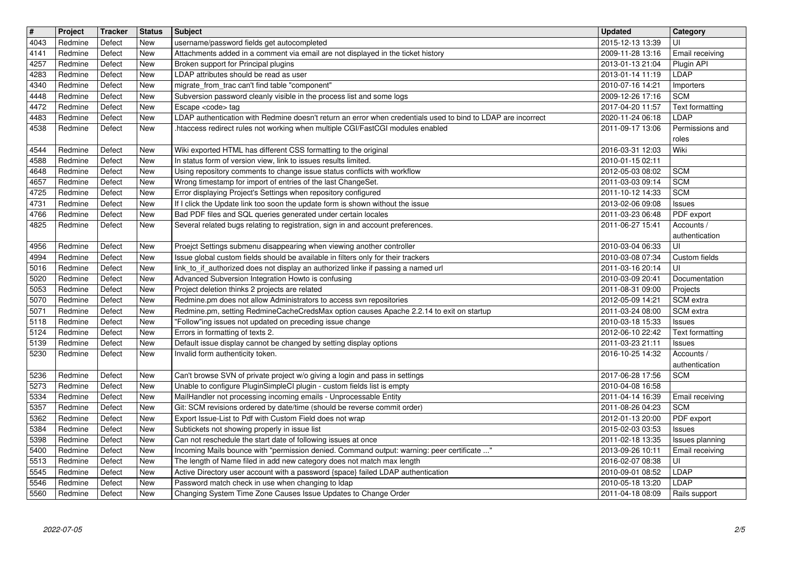| $\overline{\mathbf{H}}$<br>4043 | Project<br>Redmine | Tracker<br>Defect | <b>Status</b><br><b>New</b> | <b>Subject</b><br>username/password fields get autocompleted                                                                                                           | <b>Updated</b><br>2015-12-13 13:39   | Category<br>UI                   |
|---------------------------------|--------------------|-------------------|-----------------------------|------------------------------------------------------------------------------------------------------------------------------------------------------------------------|--------------------------------------|----------------------------------|
| 4141                            | Redmine            | Defect            | <b>New</b>                  | Attachments added in a comment via email are not displayed in the ticket history                                                                                       | 2009-11-28 13:16                     | Email receiving                  |
| 4257<br>4283                    | Redmine<br>Redmine | Defect<br>Defect  | New<br><b>New</b>           | Broken support for Principal plugins<br>LDAP attributes should be read as user                                                                                         | 2013-01-13 21:04<br>2013-01-14 11:19 | Plugin API<br>LDAP               |
| 4340                            | Redmine            | Defect            | New                         | migrate_from_trac can't find table "component"                                                                                                                         | 2010-07-16 14:21                     | Importers                        |
| 4448<br>4472                    | Redmine<br>Redmine | Defect<br>Defect  | <b>New</b><br>New           | Subversion password cleanly visible in the process list and some logs<br>Escape <code> tag</code>                                                                      | 2009-12-26 17:16<br>2017-04-20 11:57 | <b>SCM</b><br>Text formatting    |
| 4483                            | Redmine            | Defect            | New                         | LDAP authentication with Redmine doesn't return an error when credentials used to bind to LDAP are incorrect                                                           | 2020-11-24 06:18                     | LDAP                             |
| 4538                            | Redmine            | Defect            | New                         | .htaccess redirect rules not working when multiple CGI/FastCGI modules enabled                                                                                         | 2011-09-17 13:06                     | Permissions and<br>roles         |
| 4544                            | Redmine            | Defect            | <b>New</b>                  | Wiki exported HTML has different CSS formatting to the original                                                                                                        | 2016-03-31 12:03                     | Wiki                             |
| 4588<br>4648                    | Redmine<br>Redmine | Defect<br>Defect  | <b>New</b><br>New           | In status form of version view, link to issues results limited.<br>Using repository comments to change issue status conflicts with workflow                            | 2010-01-15 02:11<br>2012-05-03 08:02 | <b>SCM</b>                       |
| 4657                            | Redmine            | Defect            | New                         | Wrong timestamp for import of entries of the last ChangeSet.                                                                                                           | 2011-03-03 09:14                     | <b>SCM</b>                       |
| 4725<br>4731                    | Redmine<br>Redmine | Defect<br>Defect  | <b>New</b><br>New           | Error displaying Project's Settings when repository configured<br>If I click the Update link too soon the update form is shown without the issue                       | 2011-10-12 14:33<br>2013-02-06 09:08 | <b>SCM</b><br>Issues             |
| 4766                            | Redmine            | Defect            | New                         | Bad PDF files and SQL queries generated under certain locales                                                                                                          | 2011-03-23 06:48                     | PDF export                       |
| 4825                            | Redmine            | Defect            | New                         | Several related bugs relating to registration, sign in and account preferences.                                                                                        | 2011-06-27 15:41                     | Accounts /<br>authentication     |
| 4956                            | Redmine            | Defect            | New                         | Proejct Settings submenu disappearing when viewing another controller                                                                                                  | 2010-03-04 06:33                     | UI                               |
| 4994<br>5016                    | Redmine<br>Redmine | Defect<br>Defect  | New<br><b>New</b>           | Issue global custom fields should be available in filters only for their trackers<br>link_to_if_authorized does not display an authorized linke if passing a named url | 2010-03-08 07:34<br>2011-03-16 20:14 | Custom fields<br>UI              |
| 5020                            | Redmine            | Defect            | <b>New</b>                  | Advanced Subversion Integration Howto is confusing                                                                                                                     | 2010-03-09 20:41                     | Documentation                    |
| 5053<br>5070                    | Redmine<br>Redmine | Defect<br>Defect  | <b>New</b><br><b>New</b>    | Project deletion thinks 2 projects are related<br>Redmine.pm does not allow Administrators to access svn repositories                                                  | 2011-08-31 09:00<br>2012-05-09 14:21 | Projects<br>SCM extra            |
| 5071                            | Redmine            | Defect            | <b>New</b>                  | Redmine.pm, setting RedmineCacheCredsMax option causes Apache 2.2.14 to exit on startup                                                                                | 2011-03-24 08:00                     | SCM extra                        |
| 5118<br>5124                    | Redmine<br>Redmine | Defect<br>Defect  | New<br>New                  | "Follow"ing issues not updated on preceding issue change<br>Errors in formatting of texts 2.                                                                           | 2010-03-18 15:33<br>2012-06-10 22:42 | <b>Issues</b><br>Text formatting |
| 5139                            | Redmine            | Defect            | New                         | Default issue display cannot be changed by setting display options                                                                                                     | 2011-03-23 21:11                     | <b>Issues</b>                    |
| 5230                            | Redmine            | Defect            | New                         | Invalid form authenticity token.                                                                                                                                       | 2016-10-25 14:32                     | Accounts /<br>authentication     |
| 5236                            | Redmine            | Defect            | <b>New</b>                  | Can't browse SVN of private project w/o giving a login and pass in settings                                                                                            | 2017-06-28 17:56                     | <b>SCM</b>                       |
| 5273<br>5334                    | Redmine<br>Redmine | Defect<br>Defect  | <b>New</b><br><b>New</b>    | Unable to configure PluginSimpleCI plugin - custom fields list is empty<br>MailHandler not processing incoming emails - Unprocessable Entity                           | 2010-04-08 16:58<br>2011-04-14 16:39 | Email receiving                  |
| 5357                            | Redmine            | Defect            | New                         | Git: SCM revisions ordered by date/time (should be reverse commit order)                                                                                               | 2011-08-26 04:23                     | <b>SCM</b>                       |
| 5362<br>5384                    | Redmine<br>Redmine | Defect<br>Defect  | New<br>New                  | Export Issue-List to Pdf with Custom Field does not wrap<br>Subtickets not showing properly in issue list                                                              | 2012-01-13 20:00<br>2015-02-03 03:53 | PDF export<br><b>Issues</b>      |
| 5398                            | Redmine            | Defect            | New                         | Can not reschedule the start date of following issues at once                                                                                                          | 2011-02-18 13:35                     | Issues planning                  |
| 5400<br>5513                    | Redmine<br>Redmine | Defect<br>Defect  | New<br>New                  | Incoming Mails bounce with "permission denied. Command output: warning: peer certificate "<br>The length of Name filed in add new category does not match max length   | 2013-09-26 10:11<br>2016-02-07 08:38 | Email receiving<br>UI            |
| 5545                            | Redmine            | Defect            | New                         | Active Directory user account with a password {space} failed LDAP authentication                                                                                       | 2010-09-01 08:52                     | LDAP                             |
| 5546<br>5560                    | Redmine<br>Redmine | Defect<br>Defect  | New<br>New                  | Password match check in use when changing to Idap<br>Changing System Time Zone Causes Issue Updates to Change Order                                                    | 2010-05-18 13:20<br>2011-04-18 08:09 | LDAP<br>Rails support            |
|                                 |                    |                   |                             |                                                                                                                                                                        |                                      |                                  |
|                                 |                    |                   |                             |                                                                                                                                                                        |                                      |                                  |
|                                 |                    |                   |                             |                                                                                                                                                                        |                                      |                                  |
|                                 |                    |                   |                             |                                                                                                                                                                        |                                      |                                  |
|                                 |                    |                   |                             |                                                                                                                                                                        |                                      |                                  |
|                                 |                    |                   |                             |                                                                                                                                                                        |                                      |                                  |
|                                 |                    |                   |                             |                                                                                                                                                                        |                                      |                                  |
|                                 |                    |                   |                             |                                                                                                                                                                        |                                      |                                  |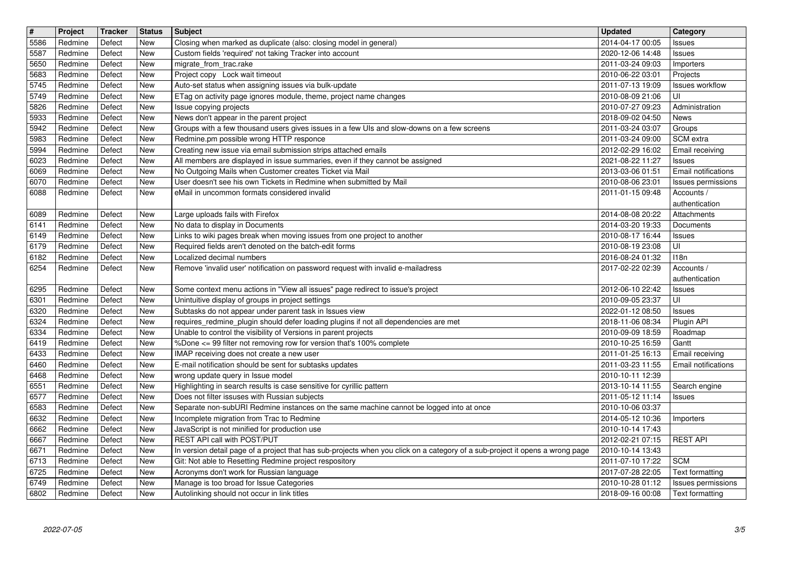| $\overline{\mathbf{H}}$ | Project            | Tracker          | <b>Status</b>            | Subject<br>Closing when marked as duplicate (also: closing model in general)                                                                            | <b>Updated</b>                       | Category                                      |
|-------------------------|--------------------|------------------|--------------------------|---------------------------------------------------------------------------------------------------------------------------------------------------------|--------------------------------------|-----------------------------------------------|
| 5586<br>5587            | Redmine<br>Redmine | Defect<br>Defect | <b>New</b><br>New        | Custom fields 'required' not taking Tracker into account                                                                                                | 2014-04-17 00:05<br>2020-12-06 14:48 | Issues<br>Issues                              |
| 5650<br>5683            | Redmine<br>Redmine | Defect<br>Defect | New<br>New               | migrate_from_trac.rake<br>Project copy Lock wait timeout                                                                                                | 2011-03-24 09:03<br>2010-06-22 03:01 | Importers<br>Projects                         |
| 5745                    | Redmine            | Defect           | New                      | Auto-set status when assigning issues via bulk-update                                                                                                   | 2011-07-13 19:09                     | <b>Issues workflow</b>                        |
| 5749<br>5826            | Redmine<br>Redmine | Defect<br>Defect | New<br>New               | ETag on activity page ignores module, theme, project name changes<br>Issue copying projects                                                             | 2010-08-09 21:06<br>2010-07-27 09:23 | UI<br>Administration                          |
| 5933                    | Redmine            | Defect           | <b>New</b>               | News don't appear in the parent project                                                                                                                 | 2018-09-02 04:50                     | News                                          |
| 5942<br>5983            | Redmine<br>Redmine | Defect<br>Defect | <b>New</b><br>New        | Groups with a few thousand users gives issues in a few UIs and slow-downs on a few screens<br>Redmine.pm possible wrong HTTP responce                   | 2011-03-24 03:07<br>2011-03-24 09:00 | Groups<br>SCM extra                           |
| 5994                    | Redmine            | Defect           | New                      | Creating new issue via email submission strips attached emails                                                                                          | 2012-02-29 16:02                     | Email receiving                               |
| 6023<br>6069            | Redmine<br>Redmine | Defect<br>Defect | New<br><b>New</b>        | All members are displayed in issue summaries, even if they cannot be assigned<br>No Outgoing Mails when Customer creates Ticket via Mail                | 2021-08-22 11:27<br>2013-03-06 01:51 | <b>Issues</b><br>Email notifications          |
| 6070                    | Redmine            | Defect           | New                      | User doesn't see his own Tickets in Redmine when submitted by Mail                                                                                      | 2010-08-06 23:01                     | Issues permissions                            |
| 6088                    | Redmine            | Defect           | <b>New</b>               | eMail in uncommon formats considered invalid                                                                                                            | 2011-01-15 09:48                     | Accounts /<br>authentication                  |
| 6089                    | Redmine            | Defect           | <b>New</b>               | Large uploads fails with Firefox                                                                                                                        | 2014-08-08 20:22                     | Attachments                                   |
| 6141<br>6149            | Redmine<br>Redmine | Defect<br>Defect | New<br>New               | No data to display in Documents<br>Links to wiki pages break when moving issues from one project to another                                             | 2014-03-20 19:33<br>2010-08-17 16:44 | Documents<br><b>Issues</b>                    |
| 6179                    | Redmine            | Defect           | New                      | Required fields aren't denoted on the batch-edit forms                                                                                                  | 2010-08-19 23:08                     | UI                                            |
| 6182<br>6254            | Redmine<br>Redmine | Defect<br>Defect | New<br><b>New</b>        | Localized decimal numbers<br>Remove 'invalid user' notification on password request with invalid e-mailadress                                           | 2016-08-24 01:32<br>2017-02-22 02:39 | 118n<br>Accounts /                            |
|                         |                    |                  |                          |                                                                                                                                                         |                                      | authentication                                |
| 6295<br>6301            | Redmine<br>Redmine | Defect<br>Defect | <b>New</b><br><b>New</b> | Some context menu actions in "View all issues" page redirect to issue's project<br>Unintuitive display of groups in project settings                    | 2012-06-10 22:42<br>2010-09-05 23:37 | <b>Issues</b><br>UI                           |
| 6320                    | Redmine            | Defect           | <b>New</b>               | Subtasks do not appear under parent task in Issues view                                                                                                 | 2022-01-12 08:50                     | <b>Issues</b>                                 |
| 6324<br>6334            | Redmine<br>Redmine | Defect<br>Defect | New<br>New               | requires_redmine_plugin should defer loading plugins if not all dependencies are met<br>Unable to control the visibility of Versions in parent projects | 2018-11-06 08:34<br>2010-09-09 18:59 | Plugin API<br>Roadmap                         |
| 6419                    | Redmine            | Defect           | New                      | %Done <= 99 filter not removing row for version that's 100% complete                                                                                    | 2010-10-25 16:59                     | Gantt                                         |
| 6433<br>6460            | Redmine<br>Redmine | Defect<br>Defect | New<br><b>New</b>        | IMAP receiving does not create a new user<br>E-mail notification should be sent for subtasks updates                                                    | 2011-01-25 16:13<br>2011-03-23 11:55 | Email receiving<br><b>Email notifications</b> |
| 6468                    | Redmine            | Defect           | New                      | wrong update query in Issue model                                                                                                                       | 2010-10-11 12:39                     |                                               |
| 6551<br>6577            | Redmine            | Defect           | <b>New</b><br>New        | Highlighting in search results is case sensitive for cyrillic pattern<br>Does not filter issuses with Russian subjects                                  | 2013-10-14 11:55                     | Search engine                                 |
| 6583                    | Redmine<br>Redmine | Defect<br>Defect | New                      | Separate non-subURI Redmine instances on the same machine cannot be logged into at once                                                                 | 2011-05-12 11:14<br>2010-10-06 03:37 | <b>Issues</b>                                 |
| 6632                    | Redmine            | Defect           | New                      | Incomplete migration from Trac to Redmine<br>JavaScript is not minified for production use                                                              | 2014-05-12 10:36                     | Importers                                     |
| 6662<br>6667            | Redmine<br>Redmine | Defect<br>Defect | New<br>New               | REST API call with POST/PUT                                                                                                                             | 2010-10-14 17:43<br>2012-02-21 07:15 | <b>REST API</b>                               |
| 6671                    | Redmine            | Defect           | New                      | In version detail page of a project that has sub-projects when you click on a category of a sub-project it opens a wrong page                           | 2010-10-14 13:43                     |                                               |
| 6713<br>6725            | Redmine<br>Redmine | Defect<br>Defect | New<br>New               | Git: Not able to Resetting Redmine project respository<br>Acronyms don't work for Russian language                                                      | 2011-07-10 17:22<br>2017-07-28 22:05 | <b>SCM</b><br>Text formatting                 |
| 6749<br>6802            | Redmine<br>Redmine | Defect<br>Defect | New<br>New               | Manage is too broad for Issue Categories<br>Autolinking should not occur in link titles                                                                 | 2010-10-28 01:12<br>2018-09-16 00:08 | Issues permissions<br>Text formatting         |
|                         |                    |                  |                          |                                                                                                                                                         |                                      |                                               |
|                         |                    |                  |                          |                                                                                                                                                         |                                      |                                               |
|                         |                    |                  |                          |                                                                                                                                                         |                                      |                                               |
|                         |                    |                  |                          |                                                                                                                                                         |                                      |                                               |
|                         |                    |                  |                          |                                                                                                                                                         |                                      |                                               |
|                         |                    |                  |                          |                                                                                                                                                         |                                      |                                               |
|                         |                    |                  |                          |                                                                                                                                                         |                                      |                                               |
|                         |                    |                  |                          |                                                                                                                                                         |                                      |                                               |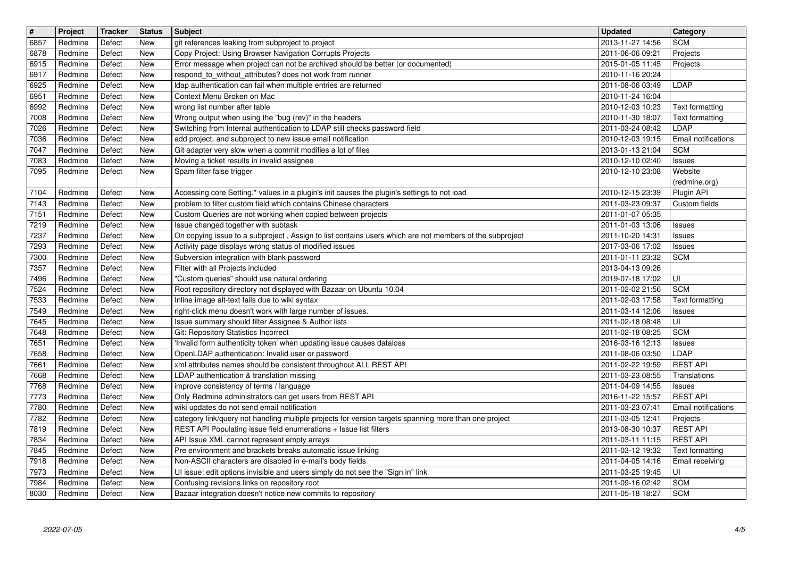| $\overline{\mathbf{H}}$ | Project            | Tracker          | <b>Status</b>            | <b>Subject</b>                                                                                                                                                  | <b>Updated</b>                       | <b>Category</b>                        |
|-------------------------|--------------------|------------------|--------------------------|-----------------------------------------------------------------------------------------------------------------------------------------------------------------|--------------------------------------|----------------------------------------|
| 6857<br>6878            | Redmine<br>Redmine | Defect<br>Defect | New<br><b>New</b>        | git references leaking from subproject to project<br>Copy Project: Using Browser Navigation Corrupts Projects                                                   | 2013-11-27 14:56<br>2011-06-06 09:21 | <b>SCM</b><br>Projects                 |
| 6915                    | Redmine<br>Redmine | Defect<br>Defect | New<br>New               | Error message when project can not be archived should be better (or documented)<br>respond_to_without_attributes? does not work from runner                     | 2015-01-05 11:45<br>2010-11-16 20:24 | Projects                               |
| 6917<br>6925            | Redmine            | Defect           | New                      | Idap authentication can fail when multiple entries are returned                                                                                                 | 2011-08-06 03:49                     | <b>LDAP</b>                            |
| 6951<br>6992            | Redmine<br>Redmine | Defect<br>Defect | <b>New</b><br><b>New</b> | Context Menu Broken on Mac<br>wrong list number after table                                                                                                     | 2010-11-24 16:04<br>2010-12-03 10:23 | Text formatting                        |
| 7008                    | Redmine            | Defect           | New                      | Wrong output when using the "bug (rev)" in the headers                                                                                                          | 2010-11-30 18:07                     | Text formatting                        |
| 7026<br>7036            | Redmine<br>Redmine | Defect<br>Defect | New<br>New               | Switching from Internal authentication to LDAP still checks password field<br>add project, and subproject to new issue email notification                       | 2011-03-24 08:42                     | LDAP<br>Email notifications            |
| 7047                    | Redmine            | Defect           | <b>New</b>               | Git adapter very slow when a commit modifies a lot of files                                                                                                     | 2010-12-03 19:15<br>2013-01-13 21:04 | <b>SCM</b>                             |
| 7083<br>7095            | Redmine<br>Redmine | Defect<br>Defect | New<br>New               | Moving a ticket results in invalid assignee<br>Spam filter false trigger                                                                                        | 2010-12-10 02:40<br>2010-12-10 23:08 | Issues<br>Website                      |
|                         |                    |                  |                          |                                                                                                                                                                 |                                      | (redmine.org)                          |
| 7104<br>7143            | Redmine<br>Redmine | Defect<br>Defect | New<br><b>New</b>        | Accessing core Setting.* values in a plugin's init causes the plugin's settings to not load<br>problem to filter custom field which contains Chinese characters | 2010-12-15 23:39<br>2011-03-23 09:37 | Plugin API<br>Custom fields            |
| 7151                    | Redmine            | Defect           | New                      | Custom Queries are not working when copied between projects                                                                                                     | 2011-01-07 05:35                     |                                        |
| 7219<br>7237            | Redmine<br>Redmine | Defect<br>Defect | New<br>New               | Issue changed together with subtask<br>On copying issue to a subproject, Assign to list contains users which are not members of the subproject                  | 2011-01-03 13:06<br>2011-10-20 14:31 | Issues                                 |
| 7293                    | Redmine            | Defect           | New                      | Activity page displays wrong status of modified issues                                                                                                          | 2017-03-06 17:02                     | <b>Issues</b><br><b>Issues</b>         |
| 7300<br>7357            | Redmine<br>Redmine | Defect<br>Defect | New<br><b>New</b>        | Subversion integration with blank password<br>Filter with all Projects included                                                                                 | 2011-01-11 23:32<br>2013-04-13 09:26 | <b>SCM</b>                             |
| 7496                    | Redmine            | Defect           | New                      | "Custom queries" should use natural ordering                                                                                                                    | 2019-07-18 17:02                     | ΙUΙ                                    |
| 7524<br>7533            | Redmine<br>Redmine | Defect<br>Defect | New<br><b>New</b>        | Root repository directory not displayed with Bazaar on Ubuntu 10.04<br>Inline image alt-text fails due to wiki syntax                                           | 2011-02-02 21:56<br>2011-02-03 17:58 | <b>SCM</b><br>Text formatting          |
| 7549                    | Redmine            | Defect           | New                      | right-click menu doesn't work with large number of issues.                                                                                                      | 2011-03-14 12:06                     | <b>Issues</b>                          |
| 7645<br>7648            | Redmine<br>Redmine | Defect<br>Defect | New<br>New               | Issue summary should filter Assignee & Author lists<br>Git: Repository Statistics Incorrect                                                                     | 2011-02-18 08:48<br>2011-02-18 08:25 | UI<br><b>SCM</b>                       |
| 7651                    | Redmine            | Defect           | New                      | Invalid form authenticity token' when updating issue causes dataloss                                                                                            | 2016-03-16 12:13                     | <b>Issues</b>                          |
| 7658                    | Redmine            | Defect           | <b>New</b>               | OpenLDAP authentication: Invalid user or password                                                                                                               | 2011-08-06 03:50                     | LDAP                                   |
| 7661<br>7668            | Redmine<br>Redmine | Defect<br>Defect | New<br>New               | xml attributes names should be consistent throughout ALL REST API<br>LDAP authentication & translation missing                                                  | 2011-02-22 19:59<br>2011-03-23 08:55 | <b>REST API</b><br>Translations        |
| 7768                    | Redmine            | Defect           | New                      | improve consistency of terms / language                                                                                                                         | 2011-04-09 14:55                     | <b>Issues</b>                          |
| 7773<br>7780            | Redmine<br>Redmine | Defect<br>Defect | New<br>New               | Only Redmine administrators can get users from REST API<br>wiki updates do not send email notification                                                          | 2016-11-22 15:57<br>2011-03-23 07:41 | <b>REST API</b><br>Email notifications |
| 7782                    | Redmine            | Defect           | <b>New</b>               | category link/query not handling multiple projects for version targets spanning more than one project                                                           | 2011-03-05 12:41                     | Projects                               |
| 7819<br>7834            | Redmine<br>Redmine | Defect<br>Defect | <b>New</b><br>New        | REST API Populating issue field enumerations + Issue list filters<br>API Issue XML cannot represent empty arrays                                                | 2013-08-30 10:37<br>2011-03-11 11:15 | <b>REST API</b><br><b>REST API</b>     |
| 7845                    | Redmine            | Defect           | New                      | Pre environment and brackets breaks automatic issue linking                                                                                                     | 2011-03-12 19:32                     | Text formatting                        |
| 7918<br>7973            | Redmine<br>Redmine | Defect<br>Defect | <b>New</b><br>New        | Non-ASCII characters are disabled in e-mail's body fields<br>UI issue: edit options invisible and users simply do not see the "Sign in" link                    | 2011-04-05 14:16<br>2011-03-25 19:45 | Email receiving<br>ΙUΙ                 |
| 7984<br>8030            | Redmine<br>Redmine | Defect<br>Defect | New<br>New               | Confusing revisions links on repository root<br>Bazaar integration doesn't notice new commits to repository                                                     | 2011-09-16 02:42<br>2011-05-18 18:27 | <b>SCM</b><br><b>SCM</b>               |
|                         |                    |                  |                          |                                                                                                                                                                 |                                      |                                        |
|                         |                    |                  |                          |                                                                                                                                                                 |                                      |                                        |
|                         |                    |                  |                          |                                                                                                                                                                 |                                      |                                        |
|                         |                    |                  |                          |                                                                                                                                                                 |                                      |                                        |
|                         |                    |                  |                          |                                                                                                                                                                 |                                      |                                        |